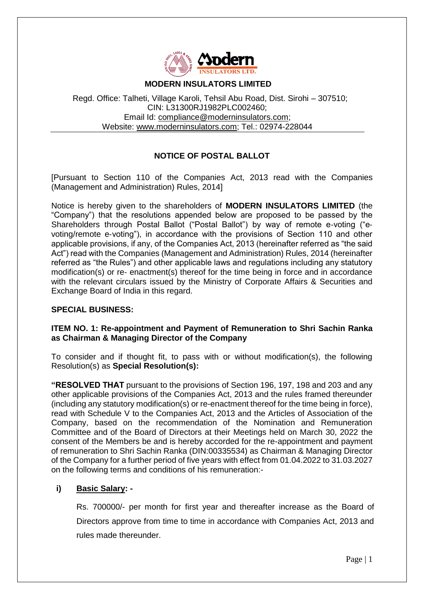

### **MODERN INSULATORS LIMITED**

Regd. Office: Talheti, Village Karoli, Tehsil Abu Road, Dist. Sirohi – 307510; CIN: L31300RJ1982PLC002460; Email Id: [compliance@moderninsulators.com;](mailto:compliance@moderninsulators.com) Website: [www.moderninsulators.com;](http://www.moderninsulators.com/) Tel.: 02974-228044

# **NOTICE OF POSTAL BALLOT**

[Pursuant to Section 110 of the Companies Act, 2013 read with the Companies (Management and Administration) Rules, 2014]

Notice is hereby given to the shareholders of **MODERN INSULATORS LIMITED** (the "Company") that the resolutions appended below are proposed to be passed by the Shareholders through Postal Ballot ("Postal Ballot") by way of remote e-voting ("evoting/remote e‐voting"), in accordance with the provisions of Section 110 and other applicable provisions, if any, of the Companies Act, 2013 (hereinafter referred as "the said Act") read with the Companies (Management and Administration) Rules, 2014 (hereinafter referred as "the Rules") and other applicable laws and regulations including any statutory modification(s) or re- enactment(s) thereof for the time being in force and in accordance with the relevant circulars issued by the Ministry of Corporate Affairs & Securities and Exchange Board of India in this regard.

## **SPECIAL BUSINESS:**

### **ITEM NO. 1: Re-appointment and Payment of Remuneration to Shri Sachin Ranka as Chairman & Managing Director of the Company**

To consider and if thought fit, to pass with or without modification(s), the following Resolution(s) as **Special Resolution(s):**

**"RESOLVED THAT** pursuant to the provisions of Section 196, 197, 198 and 203 and any other applicable provisions of the Companies Act, 2013 and the rules framed thereunder (including any statutory modification(s) or re-enactment thereof for the time being in force), read with Schedule V to the Companies Act, 2013 and the Articles of Association of the Company, based on the recommendation of the Nomination and Remuneration Committee and of the Board of Directors at their Meetings held on March 30, 2022 the consent of the Members be and is hereby accorded for the re-appointment and payment of remuneration to Shri Sachin Ranka (DIN:00335534) as Chairman & Managing Director of the Company for a further period of five years with effect from 01.04.2022 to 31.03.2027 on the following terms and conditions of his remuneration:-

## **i) Basic Salary: -**

Rs. 700000/- per month for first year and thereafter increase as the Board of Directors approve from time to time in accordance with Companies Act, 2013 and rules made thereunder.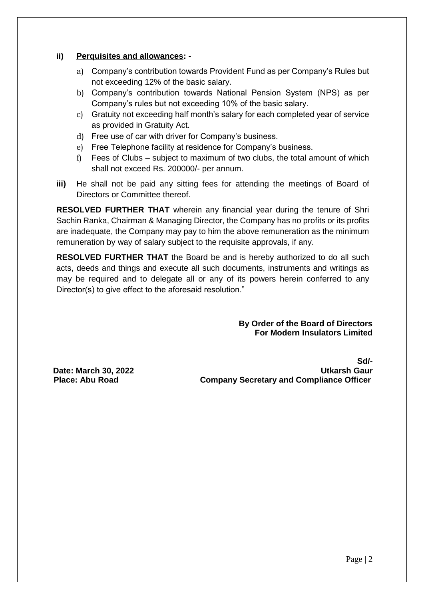### **ii) Perquisites and allowances: -**

- a) Company's contribution towards Provident Fund as per Company's Rules but not exceeding 12% of the basic salary.
- b) Company's contribution towards National Pension System (NPS) as per Company's rules but not exceeding 10% of the basic salary.
- c) Gratuity not exceeding half month's salary for each completed year of service as provided in Gratuity Act.
- d) Free use of car with driver for Company's business.
- e) Free Telephone facility at residence for Company's business.
- f) Fees of Clubs subject to maximum of two clubs, the total amount of which shall not exceed Rs. 200000/- per annum.
- **iii)** He shall not be paid any sitting fees for attending the meetings of Board of Directors or Committee thereof.

**RESOLVED FURTHER THAT** wherein any financial year during the tenure of Shri Sachin Ranka, Chairman & Managing Director, the Company has no profits or its profits are inadequate, the Company may pay to him the above remuneration as the minimum remuneration by way of salary subject to the requisite approvals, if any.

**RESOLVED FURTHER THAT** the Board be and is hereby authorized to do all such acts, deeds and things and execute all such documents, instruments and writings as may be required and to delegate all or any of its powers herein conferred to any Director(s) to give effect to the aforesaid resolution."

> **By Order of the Board of Directors For Modern Insulators Limited**

**Sd/- Date: March 30, 2022** Utkarsh Gaur **Place: Abu Road Company Secretary and Compliance Officer**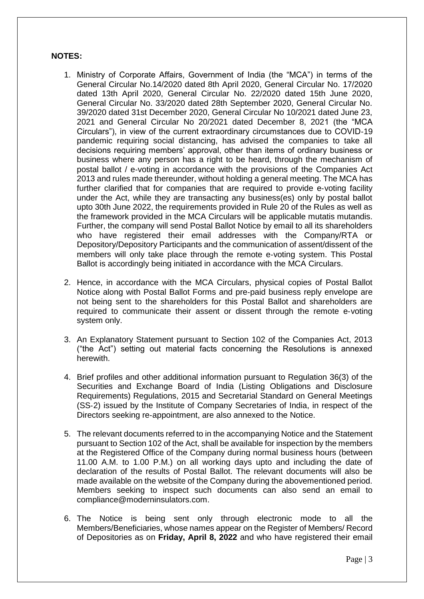#### **NOTES:**

- 1. Ministry of Corporate Affairs, Government of India (the "MCA") in terms of the General Circular No.14/2020 dated 8th April 2020, General Circular No. 17/2020 dated 13th April 2020, General Circular No. 22/2020 dated 15th June 2020, General Circular No. 33/2020 dated 28th September 2020, General Circular No. 39/2020 dated 31st December 2020, General Circular No 10/2021 dated June 23, 2021 and General Circular No 20/2021 dated December 8, 2021 (the "MCA Circulars"), in view of the current extraordinary circumstances due to COVID‐19 pandemic requiring social distancing, has advised the companies to take all decisions requiring members' approval, other than items of ordinary business or business where any person has a right to be heard, through the mechanism of postal ballot / e‐voting in accordance with the provisions of the Companies Act 2013 and rules made thereunder, without holding a general meeting. The MCA has further clarified that for companies that are required to provide e-voting facility under the Act, while they are transacting any business(es) only by postal ballot upto 30th June 2022, the requirements provided in Rule 20 of the Rules as well as the framework provided in the MCA Circulars will be applicable mutatis mutandis. Further, the company will send Postal Ballot Notice by email to all its shareholders who have registered their email addresses with the Company/RTA or Depository/Depository Participants and the communication of assent/dissent of the members will only take place through the remote e-voting system. This Postal Ballot is accordingly being initiated in accordance with the MCA Circulars.
- 2. Hence, in accordance with the MCA Circulars, physical copies of Postal Ballot Notice along with Postal Ballot Forms and pre‐paid business reply envelope are not being sent to the shareholders for this Postal Ballot and shareholders are required to communicate their assent or dissent through the remote e‐voting system only.
- 3. An Explanatory Statement pursuant to Section 102 of the Companies Act, 2013 ("the Act") setting out material facts concerning the Resolutions is annexed herewith.
- 4. Brief profiles and other additional information pursuant to Regulation 36(3) of the Securities and Exchange Board of India (Listing Obligations and Disclosure Requirements) Regulations, 2015 and Secretarial Standard on General Meetings (SS‐2) issued by the Institute of Company Secretaries of India, in respect of the Directors seeking re‐appointment, are also annexed to the Notice.
- 5. The relevant documents referred to in the accompanying Notice and the Statement pursuant to Section 102 of the Act, shall be available for inspection by the members at the Registered Office of the Company during normal business hours (between 11.00 A.M. to 1.00 P.M.) on all working days upto and including the date of declaration of the results of Postal Ballot. The relevant documents will also be made available on the website of the Company during the abovementioned period. Members seeking to inspect such documents can also send an email to [compliance@moderninsulators.com.](mailto:compliance@moderninsulators.com)
- 6. The Notice is being sent only through electronic mode to all the Members/Beneficiaries, whose names appear on the Register of Members/ Record of Depositories as on **Friday, April 8, 2022** and who have registered their email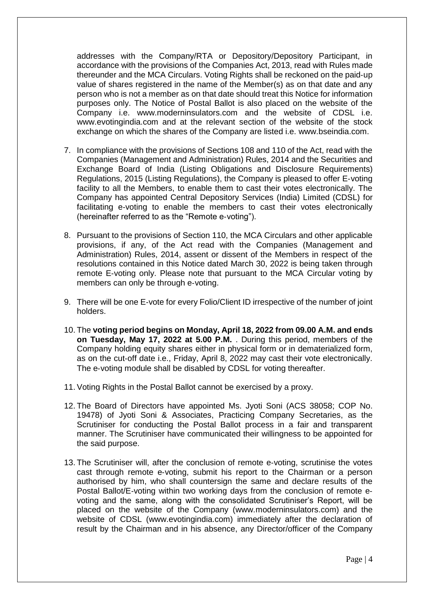addresses with the Company/RTA or Depository/Depository Participant, in accordance with the provisions of the Companies Act, 2013, read with Rules made thereunder and the MCA Circulars. Voting Rights shall be reckoned on the paid‐up value of shares registered in the name of the Member(s) as on that date and any person who is not a member as on that date should treat this Notice for information purposes only. The Notice of Postal Ballot is also placed on the website of the Company i.e. www.moderninsulators.com and the website of CDSL i.e. www.evotingindia.com and at the relevant section of the website of the stock exchange on which the shares of the Company are listed i.e. www.bseindia.com.

- 7. In compliance with the provisions of Sections 108 and 110 of the Act, read with the Companies (Management and Administration) Rules, 2014 and the Securities and Exchange Board of India (Listing Obligations and Disclosure Requirements) Regulations, 2015 (Listing Regulations), the Company is pleased to offer E‐voting facility to all the Members, to enable them to cast their votes electronically. The Company has appointed Central Depository Services (India) Limited (CDSL) for facilitating e-voting to enable the members to cast their votes electronically (hereinafter referred to as the "Remote e‐voting").
- 8. Pursuant to the provisions of Section 110, the MCA Circulars and other applicable provisions, if any, of the Act read with the Companies (Management and Administration) Rules, 2014, assent or dissent of the Members in respect of the resolutions contained in this Notice dated March 30, 2022 is being taken through remote E‐voting only. Please note that pursuant to the MCA Circular voting by members can only be through e‐voting.
- 9. There will be one E-vote for every Folio/Client ID irrespective of the number of joint holders.
- 10. The **voting period begins on Monday, April 18, 2022 from 09.00 A.M. and ends on Tuesday, May 17, 2022 at 5.00 P.M.** . During this period, members of the Company holding equity shares either in physical form or in dematerialized form, as on the cut‐off date i.e., Friday, April 8, 2022 may cast their vote electronically. The e-voting module shall be disabled by CDSL for voting thereafter.
- 11. Voting Rights in the Postal Ballot cannot be exercised by a proxy.
- 12. The Board of Directors have appointed Ms. Jyoti Soni (ACS 38058; COP No. 19478) of Jyoti Soni & Associates, Practicing Company Secretaries, as the Scrutiniser for conducting the Postal Ballot process in a fair and transparent manner. The Scrutiniser have communicated their willingness to be appointed for the said purpose.
- 13. The Scrutiniser will, after the conclusion of remote e-voting, scrutinise the votes cast through remote e‐voting, submit his report to the Chairman or a person authorised by him, who shall countersign the same and declare results of the Postal Ballot/E‐voting within two working days from the conclusion of remote e‐ voting and the same, along with the consolidated Scrutiniser's Report, will be placed on the website of the Company (www.moderninsulators.com) and the website of CDSL (www.evotingindia.com) immediately after the declaration of result by the Chairman and in his absence, any Director/officer of the Company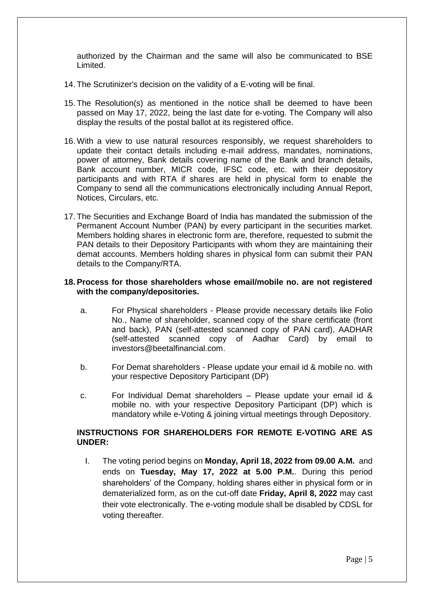authorized by the Chairman and the same will also be communicated to BSE Limited.

- 14. The Scrutinizer's decision on the validity of a E‐voting will be final.
- 15. The Resolution(s) as mentioned in the notice shall be deemed to have been passed on May 17, 2022, being the last date for e‐voting. The Company will also display the results of the postal ballot at its registered office.
- 16. With a view to use natural resources responsibly, we request shareholders to update their contact details including e‐mail address, mandates, nominations, power of attorney, Bank details covering name of the Bank and branch details, Bank account number, MICR code, IFSC code, etc. with their depository participants and with RTA if shares are held in physical form to enable the Company to send all the communications electronically including Annual Report, Notices, Circulars, etc.
- 17. The Securities and Exchange Board of India has mandated the submission of the Permanent Account Number (PAN) by every participant in the securities market. Members holding shares in electronic form are, therefore, requested to submit the PAN details to their Depository Participants with whom they are maintaining their demat accounts. Members holding shares in physical form can submit their PAN details to the Company/RTA.

#### **18. Process for those shareholders whose email/mobile no. are not registered with the company/depositories.**

- a. For Physical shareholders Please provide necessary details like Folio No., Name of shareholder, scanned copy of the share certificate (front and back), PAN (self-attested scanned copy of PAN card), AADHAR (self-attested scanned copy of Aadhar Card) by email to [investors@beetalfinancial.com.](mailto:investors@beetalfinancial.com)
- b. For Demat shareholders Please update your email id & mobile no. with your respective Depository Participant (DP)
- c. For Individual Demat shareholders Please update your email id & mobile no. with your respective Depository Participant (DP) which is mandatory while e-Voting & joining virtual meetings through Depository.

### **INSTRUCTIONS FOR SHAREHOLDERS FOR REMOTE E-VOTING ARE AS UNDER:**

I. The voting period begins on **Monday, April 18, 2022 from 09.00 A.M.** and ends on **Tuesday, May 17, 2022 at 5.00 P.M.**. During this period shareholders' of the Company, holding shares either in physical form or in dematerialized form, as on the cut-off date **Friday, April 8, 2022** may cast their vote electronically. The e-voting module shall be disabled by CDSL for voting thereafter.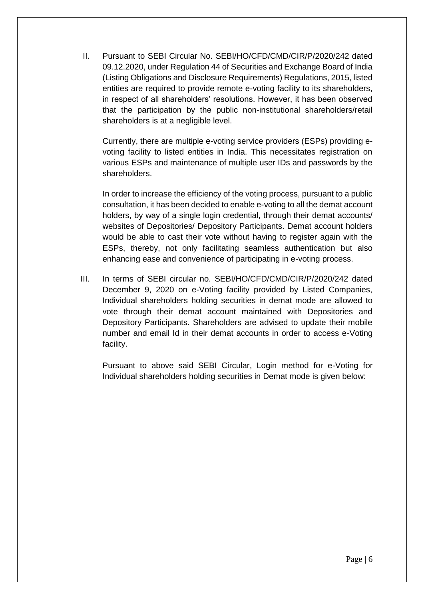II. Pursuant to SEBI Circular No. SEBI/HO/CFD/CMD/CIR/P/2020/242 dated 09.12.2020, under Regulation 44 of Securities and Exchange Board of India (Listing Obligations and Disclosure Requirements) Regulations, 2015, listed entities are required to provide remote e-voting facility to its shareholders, in respect of all shareholders' resolutions. However, it has been observed that the participation by the public non-institutional shareholders/retail shareholders is at a negligible level.

Currently, there are multiple e-voting service providers (ESPs) providing evoting facility to listed entities in India. This necessitates registration on various ESPs and maintenance of multiple user IDs and passwords by the shareholders.

In order to increase the efficiency of the voting process, pursuant to a public consultation, it has been decided to enable e-voting to all the demat account holders, by way of a single login credential, through their demat accounts/ websites of Depositories/ Depository Participants. Demat account holders would be able to cast their vote without having to register again with the ESPs, thereby, not only facilitating seamless authentication but also enhancing ease and convenience of participating in e-voting process.

III. In terms of SEBI circular no. SEBI/HO/CFD/CMD/CIR/P/2020/242 dated December 9, 2020 on e-Voting facility provided by Listed Companies, Individual shareholders holding securities in demat mode are allowed to vote through their demat account maintained with Depositories and Depository Participants. Shareholders are advised to update their mobile number and email Id in their demat accounts in order to access e-Voting facility.

Pursuant to above said SEBI Circular, Login method for e-Voting for Individual shareholders holding securities in Demat mode is given below: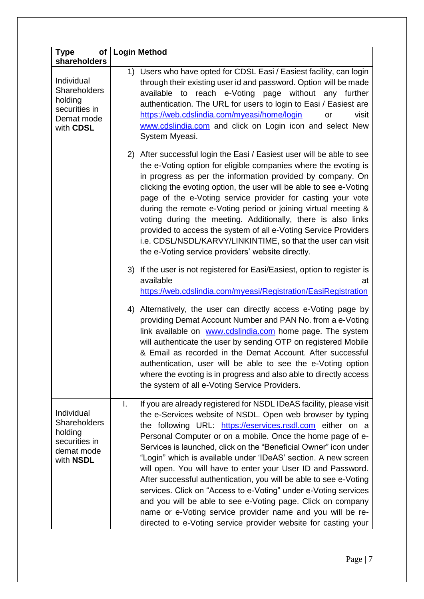| <b>Type</b><br>of <sub>l</sub><br>shareholders                                           | <b>Login Method</b>                                                                                                                                                                                                                                                                                                                                                                                                                                                                                                                                                                                                                                                                                                                                                                                             |
|------------------------------------------------------------------------------------------|-----------------------------------------------------------------------------------------------------------------------------------------------------------------------------------------------------------------------------------------------------------------------------------------------------------------------------------------------------------------------------------------------------------------------------------------------------------------------------------------------------------------------------------------------------------------------------------------------------------------------------------------------------------------------------------------------------------------------------------------------------------------------------------------------------------------|
| Individual<br><b>Shareholders</b><br>holding<br>securities in<br>Demat mode<br>with CDSL | 1) Users who have opted for CDSL Easi / Easiest facility, can login<br>through their existing user id and password. Option will be made<br>available to reach e-Voting page without any further<br>authentication. The URL for users to login to Easi / Easiest are<br>https://web.cdslindia.com/myeasi/home/login<br>visit<br>or<br>www.cdslindia.com and click on Login icon and select New<br>System Myeasi.                                                                                                                                                                                                                                                                                                                                                                                                 |
|                                                                                          | 2) After successful login the Easi / Easiest user will be able to see<br>the e-Voting option for eligible companies where the evoting is<br>in progress as per the information provided by company. On<br>clicking the evoting option, the user will be able to see e-Voting<br>page of the e-Voting service provider for casting your vote<br>during the remote e-Voting period or joining virtual meeting &<br>voting during the meeting. Additionally, there is also links<br>provided to access the system of all e-Voting Service Providers<br>i.e. CDSL/NSDL/KARVY/LINKINTIME, so that the user can visit<br>the e-Voting service providers' website directly.                                                                                                                                            |
|                                                                                          | 3) If the user is not registered for Easi/Easiest, option to register is<br>available<br>at<br>https://web.cdslindia.com/myeasi/Registration/EasiRegistration                                                                                                                                                                                                                                                                                                                                                                                                                                                                                                                                                                                                                                                   |
|                                                                                          | 4) Alternatively, the user can directly access e-Voting page by<br>providing Demat Account Number and PAN No. from a e-Voting<br>link available on www.cdslindia.com home page. The system<br>will authenticate the user by sending OTP on registered Mobile<br>& Email as recorded in the Demat Account. After successful<br>authentication, user will be able to see the e-Voting option<br>where the evoting is in progress and also able to directly access<br>the system of all e-Voting Service Providers.                                                                                                                                                                                                                                                                                                |
| Individual<br>Shareholders<br>holding<br>securities in<br>demat mode<br>with NSDL        | If you are already registered for NSDL IDeAS facility, please visit<br>I.<br>the e-Services website of NSDL. Open web browser by typing<br>the following URL: https://eservices.nsdl.com either on a<br>Personal Computer or on a mobile. Once the home page of e-<br>Services is launched, click on the "Beneficial Owner" icon under<br>"Login" which is available under 'IDeAS' section. A new screen<br>will open. You will have to enter your User ID and Password.<br>After successful authentication, you will be able to see e-Voting<br>services. Click on "Access to e-Voting" under e-Voting services<br>and you will be able to see e-Voting page. Click on company<br>name or e-Voting service provider name and you will be re-<br>directed to e-Voting service provider website for casting your |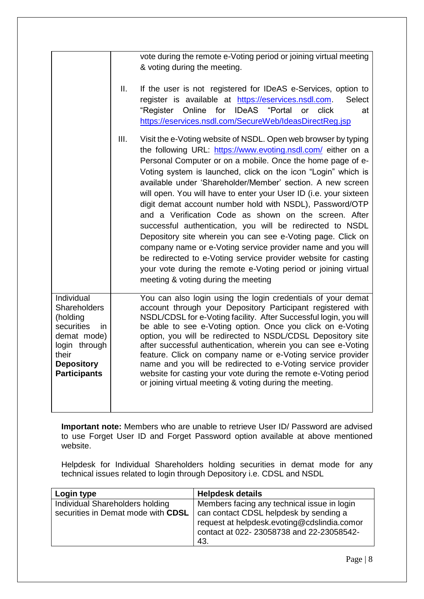|                                                                                                                                                        |      | vote during the remote e-Voting period or joining virtual meeting<br>& voting during the meeting.                                                                                                                                                                                                                                                                                                                                                                                                                                                                                                                                                                                                                                                                                                                                                                                           |
|--------------------------------------------------------------------------------------------------------------------------------------------------------|------|---------------------------------------------------------------------------------------------------------------------------------------------------------------------------------------------------------------------------------------------------------------------------------------------------------------------------------------------------------------------------------------------------------------------------------------------------------------------------------------------------------------------------------------------------------------------------------------------------------------------------------------------------------------------------------------------------------------------------------------------------------------------------------------------------------------------------------------------------------------------------------------------|
|                                                                                                                                                        | Ш.   | If the user is not registered for IDeAS e-Services, option to<br>register is available at https://eservices.nsdl.com.<br><b>Select</b><br>"Register Online for<br><b>IDeAS</b><br>"Portal<br>click<br>or<br>at<br>https://eservices.nsdl.com/SecureWeb/IdeasDirectReq.jsp                                                                                                                                                                                                                                                                                                                                                                                                                                                                                                                                                                                                                   |
|                                                                                                                                                        | III. | Visit the e-Voting website of NSDL. Open web browser by typing<br>the following URL: https://www.evoting.nsdl.com/ either on a<br>Personal Computer or on a mobile. Once the home page of e-<br>Voting system is launched, click on the icon "Login" which is<br>available under 'Shareholder/Member' section. A new screen<br>will open. You will have to enter your User ID (i.e. your sixteen<br>digit demat account number hold with NSDL), Password/OTP<br>and a Verification Code as shown on the screen. After<br>successful authentication, you will be redirected to NSDL<br>Depository site wherein you can see e-Voting page. Click on<br>company name or e-Voting service provider name and you will<br>be redirected to e-Voting service provider website for casting<br>your vote during the remote e-Voting period or joining virtual<br>meeting & voting during the meeting |
| Individual<br><b>Shareholders</b><br>(holding<br>securities<br>in<br>demat mode)<br>login through<br>their<br><b>Depository</b><br><b>Participants</b> |      | You can also login using the login credentials of your demat<br>account through your Depository Participant registered with<br>NSDL/CDSL for e-Voting facility. After Successful login, you will<br>be able to see e-Voting option. Once you click on e-Voting<br>option, you will be redirected to NSDL/CDSL Depository site<br>after successful authentication, wherein you can see e-Voting<br>feature. Click on company name or e-Voting service provider<br>name and you will be redirected to e-Voting service provider<br>website for casting your vote during the remote e-Voting period<br>or joining virtual meeting & voting during the meeting.                                                                                                                                                                                                                                 |

**Important note:** Members who are unable to retrieve User ID/ Password are advised to use Forget User ID and Forget Password option available at above mentioned website.

Helpdesk for Individual Shareholders holding securities in demat mode for any technical issues related to login through Depository i.e. CDSL and NSDL

| Login type                                                            | <b>Helpdesk details</b>                                                                        |
|-----------------------------------------------------------------------|------------------------------------------------------------------------------------------------|
| Individual Shareholders holding<br>securities in Demat mode with CDSL | Members facing any technical issue in login<br>can contact CDSL helpdesk by sending a          |
|                                                                       | request at helpdesk.evoting@cdslindia.comor<br>contact at 022-23058738 and 22-23058542-<br>43. |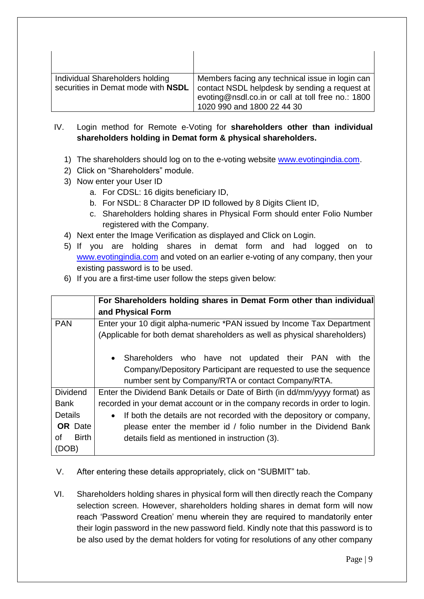| Individual Shareholders holding<br>securities in Demat mode with NSDL | Members facing any technical issue in login can<br>contact NSDL helpdesk by sending a request at<br>evoting@nsdl.co.in or call at toll free no.: 1800<br>1020 990 and 1800 22 44 30 |
|-----------------------------------------------------------------------|-------------------------------------------------------------------------------------------------------------------------------------------------------------------------------------|

- IV. Login method for Remote e-Voting for **shareholders other than individual shareholders holding in Demat form & physical shareholders.**
	- 1) The shareholders should log on to the e-voting website [www.evotingindia.com.](http://www.evotingindia.com/)
	- 2) Click on "Shareholders" module.
	- 3) Now enter your User ID
		- a. For CDSL: 16 digits beneficiary ID,
		- b. For NSDL: 8 Character DP ID followed by 8 Digits Client ID,
		- c. Shareholders holding shares in Physical Form should enter Folio Number registered with the Company.
	- 4) Next enter the Image Verification as displayed and Click on Login.
	- 5) If you are holding shares in demat form and had logged on to [www.evotingindia.com](http://www.evotingindia.com/) and voted on an earlier e-voting of any company, then your existing password is to be used.
	- 6) If you are a first-time user follow the steps given below:

|                    | For Shareholders holding shares in Demat Form other than individual<br>and Physical Form |  |  |
|--------------------|------------------------------------------------------------------------------------------|--|--|
| <b>PAN</b>         | Enter your 10 digit alpha-numeric *PAN issued by Income Tax Department                   |  |  |
|                    | (Applicable for both demat shareholders as well as physical shareholders)                |  |  |
|                    | Shareholders who have not updated their PAN<br>the<br>with<br>$\bullet$                  |  |  |
|                    | Company/Depository Participant are requested to use the sequence                         |  |  |
|                    | number sent by Company/RTA or contact Company/RTA.                                       |  |  |
| <b>Dividend</b>    | Enter the Dividend Bank Details or Date of Birth (in dd/mm/yyyy format) as               |  |  |
| <b>Bank</b>        | recorded in your demat account or in the company records in order to login.              |  |  |
| <b>Details</b>     | If both the details are not recorded with the depository or company,<br>$\bullet$        |  |  |
| <b>OR</b> Date     | please enter the member id / folio number in the Dividend Bank                           |  |  |
| <b>Birth</b><br>οf | details field as mentioned in instruction (3).                                           |  |  |
| (DOB)              |                                                                                          |  |  |

- V. After entering these details appropriately, click on "SUBMIT" tab.
- VI. Shareholders holding shares in physical form will then directly reach the Company selection screen. However, shareholders holding shares in demat form will now reach 'Password Creation' menu wherein they are required to mandatorily enter their login password in the new password field. Kindly note that this password is to be also used by the demat holders for voting for resolutions of any other company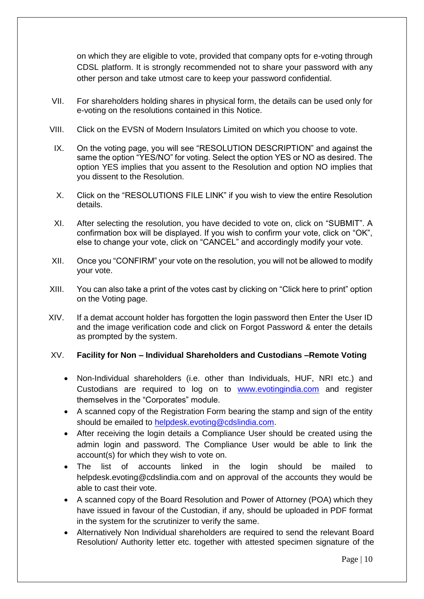on which they are eligible to vote, provided that company opts for e-voting through CDSL platform. It is strongly recommended not to share your password with any other person and take utmost care to keep your password confidential.

- VII. For shareholders holding shares in physical form, the details can be used only for e-voting on the resolutions contained in this Notice.
- VIII. Click on the EVSN of Modern Insulators Limited on which you choose to vote.
- IX. On the voting page, you will see "RESOLUTION DESCRIPTION" and against the same the option "YES/NO" for voting. Select the option YES or NO as desired. The option YES implies that you assent to the Resolution and option NO implies that you dissent to the Resolution.
- X. Click on the "RESOLUTIONS FILE LINK" if you wish to view the entire Resolution details.
- XI. After selecting the resolution, you have decided to vote on, click on "SUBMIT". A confirmation box will be displayed. If you wish to confirm your vote, click on "OK", else to change your vote, click on "CANCEL" and accordingly modify your vote.
- XII. Once you "CONFIRM" your vote on the resolution, you will not be allowed to modify your vote.
- XIII. You can also take a print of the votes cast by clicking on "Click here to print" option on the Voting page.
- XIV. If a demat account holder has forgotten the login password then Enter the User ID and the image verification code and click on Forgot Password & enter the details as prompted by the system.

## XV. **Facility for Non – Individual Shareholders and Custodians –Remote Voting**

- Non-Individual shareholders (i.e. other than Individuals, HUF, NRI etc.) and Custodians are required to log on to [www.evotingindia.com](http://www.evotingindia.com/) and register themselves in the "Corporates" module.
- A scanned copy of the Registration Form bearing the stamp and sign of the entity should be emailed to [helpdesk.evoting@cdslindia.com.](mailto:helpdesk.evoting@cdslindia.com)
- After receiving the login details a Compliance User should be created using the admin login and password. The Compliance User would be able to link the account(s) for which they wish to vote on.
- The list of accounts linked in the login should be mailed to helpdesk.evoting@cdslindia.com and on approval of the accounts they would be able to cast their vote.
- A scanned copy of the Board Resolution and Power of Attorney (POA) which they have issued in favour of the Custodian, if any, should be uploaded in PDF format in the system for the scrutinizer to verify the same.
- Alternatively Non Individual shareholders are required to send the relevant Board Resolution/ Authority letter etc. together with attested specimen signature of the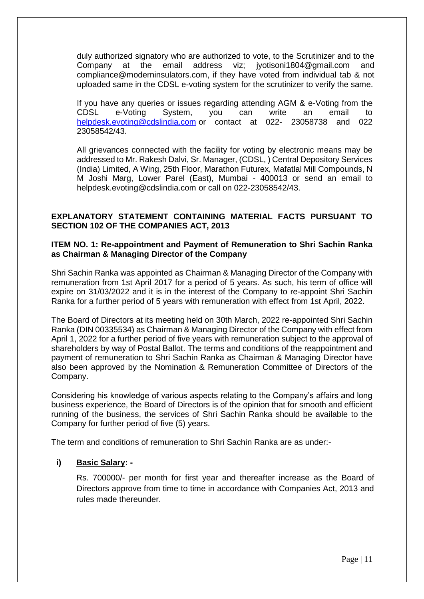duly authorized signatory who are authorized to vote, to the Scrutinizer and to the Company at the email address viz; jyotisoni1804@gmail.com and compliance@moderninsulators.com, if they have voted from individual tab & not uploaded same in the CDSL e-voting system for the scrutinizer to verify the same.

If you have any queries or issues regarding attending AGM & e-Voting from the CDSL e-Voting System, you can write an email to [helpdesk.evoting@cdslindia.com](mailto:helpdesk.evoting@cdslindia.com) or contact at 022- 23058738 and 022 23058542/43.

All grievances connected with the facility for voting by electronic means may be addressed to Mr. Rakesh Dalvi, Sr. Manager, (CDSL, ) Central Depository Services (India) Limited, A Wing, 25th Floor, Marathon Futurex, Mafatlal Mill Compounds, N M Joshi Marg, Lower Parel (East), Mumbai - 400013 or send an email to [helpdesk.evoting@cdslindia.com](mailto:helpdesk.evoting@cdslindia.com) or call on 022-23058542/43.

## **EXPLANATORY STATEMENT CONTAINING MATERIAL FACTS PURSUANT TO SECTION 102 OF THE COMPANIES ACT, 2013**

### **ITEM NO. 1: Re-appointment and Payment of Remuneration to Shri Sachin Ranka as Chairman & Managing Director of the Company**

Shri Sachin Ranka was appointed as Chairman & Managing Director of the Company with remuneration from 1st April 2017 for a period of 5 years. As such, his term of office will expire on 31/03/2022 and it is in the interest of the Company to re-appoint Shri Sachin Ranka for a further period of 5 years with remuneration with effect from 1st April, 2022.

The Board of Directors at its meeting held on 30th March, 2022 re-appointed Shri Sachin Ranka (DIN 00335534) as Chairman & Managing Director of the Company with effect from April 1, 2022 for a further period of five years with remuneration subject to the approval of shareholders by way of Postal Ballot. The terms and conditions of the reappointment and payment of remuneration to Shri Sachin Ranka as Chairman & Managing Director have also been approved by the Nomination & Remuneration Committee of Directors of the Company.

Considering his knowledge of various aspects relating to the Company's affairs and long business experience, the Board of Directors is of the opinion that for smooth and efficient running of the business, the services of Shri Sachin Ranka should be available to the Company for further period of five (5) years.

The term and conditions of remuneration to Shri Sachin Ranka are as under:-

## **i) Basic Salary: -**

Rs. 700000/- per month for first year and thereafter increase as the Board of Directors approve from time to time in accordance with Companies Act, 2013 and rules made thereunder.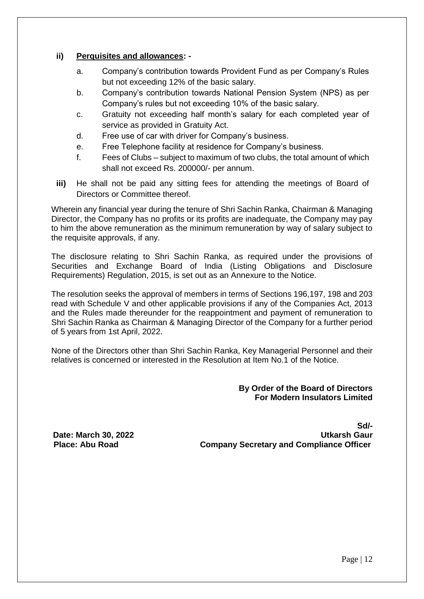### **ii) Perquisites and allowances: -**

- a. Company's contribution towards Provident Fund as per Company's Rules but not exceeding 12% of the basic salary.
- b. Company's contribution towards National Pension System (NPS) as per Company's rules but not exceeding 10% of the basic salary.
- c. Gratuity not exceeding half month's salary for each completed year of service as provided in Gratuity Act.
- d. Free use of car with driver for Company's business.
- e. Free Telephone facility at residence for Company's business.
- f. Fees of Clubs subject to maximum of two clubs, the total amount of which shall not exceed Rs. 200000/- per annum.
- **iii)** He shall not be paid any sitting fees for attending the meetings of Board of Directors or Committee thereof.

Wherein any financial year during the tenure of Shri Sachin Ranka, Chairman & Managing Director, the Company has no profits or its profits are inadequate, the Company may pay to him the above remuneration as the minimum remuneration by way of salary subject to the requisite approvals, if any.

The disclosure relating to Shri Sachin Ranka, as required under the provisions of Securities and Exchange Board of India (Listing Obligations and Disclosure Requirements) Regulation, 2015, is set out as an Annexure to the Notice.

The resolution seeks the approval of members in terms of Sections 196,197, 198 and 203 read with Schedule V and other applicable provisions if any of the Companies Act, 2013 and the Rules made thereunder for the reappointment and payment of remuneration to Shri Sachin Ranka as Chairman & Managing Director of the Company for a further period of 5 years from 1st April, 2022.

None of the Directors other than Shri Sachin Ranka, Key Managerial Personnel and their relatives is concerned or interested in the Resolution at Item No.1 of the Notice.

## **By Order of the Board of Directors For Modern Insulators Limited**

**Sd/- Date: March 30, 2022 Utkarsh Gaur Place: Abu Road Company Secretary and Compliance Officer**